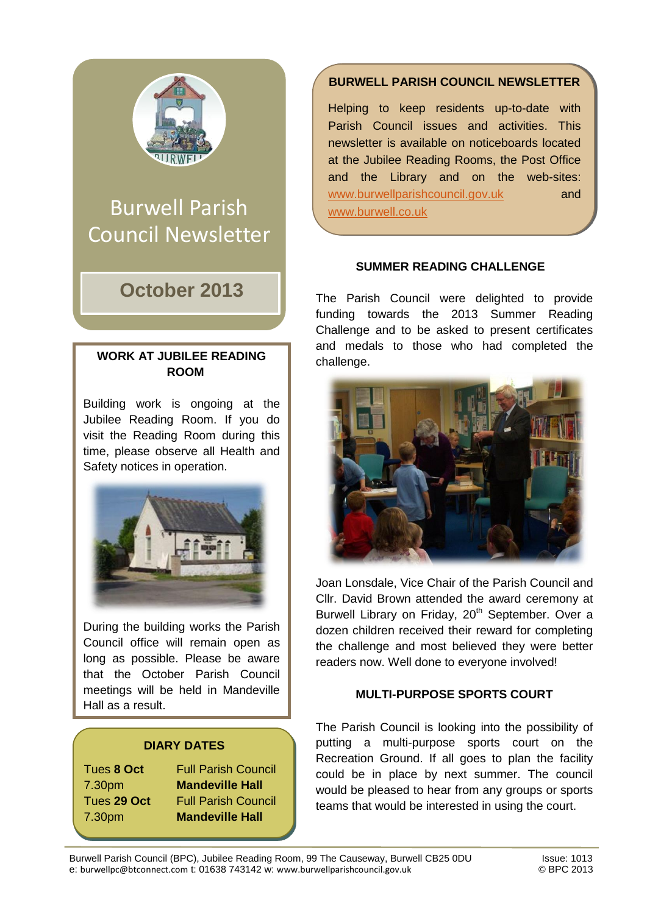

# Burwell Parish Council Newsletter

# **October 2013**

#### **WORK AT JUBILEE READING ROOM**

Building work is ongoing at the Jubilee Reading Room. If you do visit the Reading Room during this time, please observe all Health and Safety notices in operation.



During the building works the Parish Council office will remain open as long as possible. Please be aware that the October Parish Council meetings will be held in Mandeville Hall as a result.

## **DIARY DATES**

Tues **8 Oct** Full Parish Council 7.30pm **Mandeville Hall** Tues **29 Oct** Full Parish Council 7.30pm **Mandeville Hall**

# **BURWELL PARISH COUNCIL NEWSLETTER**

Helping to keep residents up-to-date with Parish Council issues and activities. This newsletter is available on noticeboards located at the Jubilee Reading Rooms, the Post Office and the Library and on the web-sites: [www.burwellparishcouncil.gov.uk](http://www.burwellparishcouncil.gov.uk/) and [www.burwell.co.uk](http://www.burwell.co.uk/)

#### **SUMMER READING CHALLENGE**

The Parish Council were delighted to provide funding towards the 2013 Summer Reading Challenge and to be asked to present certificates and medals to those who had completed the challenge.



Joan Lonsdale, Vice Chair of the Parish Council and Cllr. David Brown attended the award ceremony at Burwell Library on Friday, 20<sup>th</sup> September. Over a dozen children received their reward for completing the challenge and most believed they were better readers now. Well done to everyone involved!

## **MULTI-PURPOSE SPORTS COURT**

The Parish Council is looking into the possibility of putting a multi-purpose sports court on the Recreation Ground. If all goes to plan the facility could be in place by next summer. The council would be pleased to hear from any groups or sports teams that would be interested in using the court.